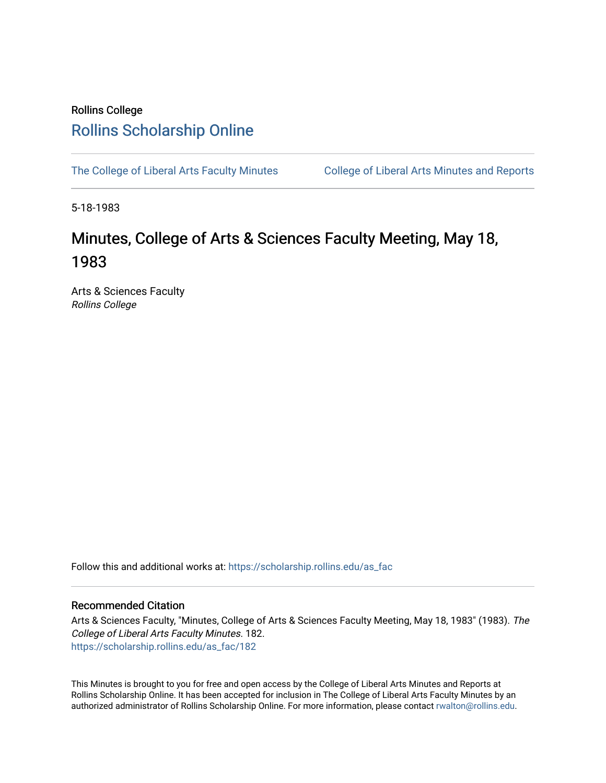## Rollins College [Rollins Scholarship Online](https://scholarship.rollins.edu/)

[The College of Liberal Arts Faculty Minutes](https://scholarship.rollins.edu/as_fac) College of Liberal Arts Minutes and Reports

5-18-1983

# Minutes, College of Arts & Sciences Faculty Meeting, May 18, 1983

Arts & Sciences Faculty Rollins College

Follow this and additional works at: [https://scholarship.rollins.edu/as\\_fac](https://scholarship.rollins.edu/as_fac?utm_source=scholarship.rollins.edu%2Fas_fac%2F182&utm_medium=PDF&utm_campaign=PDFCoverPages) 

### Recommended Citation

Arts & Sciences Faculty, "Minutes, College of Arts & Sciences Faculty Meeting, May 18, 1983" (1983). The College of Liberal Arts Faculty Minutes. 182. [https://scholarship.rollins.edu/as\\_fac/182](https://scholarship.rollins.edu/as_fac/182?utm_source=scholarship.rollins.edu%2Fas_fac%2F182&utm_medium=PDF&utm_campaign=PDFCoverPages) 

This Minutes is brought to you for free and open access by the College of Liberal Arts Minutes and Reports at Rollins Scholarship Online. It has been accepted for inclusion in The College of Liberal Arts Faculty Minutes by an authorized administrator of Rollins Scholarship Online. For more information, please contact [rwalton@rollins.edu](mailto:rwalton@rollins.edu).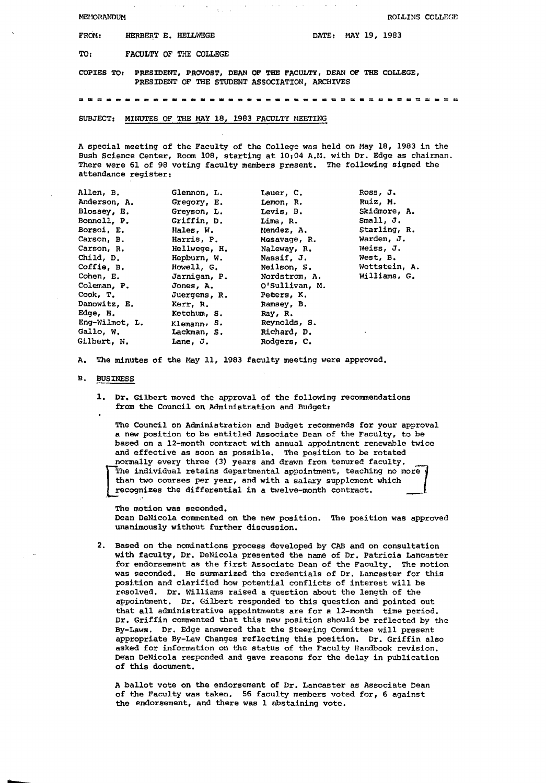| <b>FROM:</b> | HERBERT E. HELLWEGE | DATE: MAY 19, 1983 |  |  |
|--------------|---------------------|--------------------|--|--|
|              |                     |                    |  |  |

TO: FACULTY OF THE COLLEGE

COPIES TO: PRESIDENT, PROVOST, DEAN OF THE FACULTY, DEAN OF THE COLLEGE, PRESIDENT OF THE STUDENT ASSOCIATION, ARCHIVES

= = = = a = = C C = = = = = = = = = m = = = = = = = = = = = = **= = = = = =** 

#### SUBJECT: MINUTES OF THE MAY 18, 1983 FACULTY MEETING

A special meeting of the Faculty of the College was held on May 18, 1983 in the Bush Science Center, Room 108, starting at 10:04 A.M. with Dr. Edge as chairman. There were 61 of 98 voting faculty members present. The following signed the attendance register:

| Glennon, L.    | Lauer, C.          | Ross, J.      |
|----------------|--------------------|---------------|
| Gregory, E.    | Lemon, R.          | Ruiz, M.      |
| Greyson, L.    | Levis, B.          | Skidmore, A.  |
| Griffin, D.    | Lima, R.           | Small, J.     |
| Hales, W.      | Mendez, A.         | Starling, R.  |
| Harris, P.     | Mesavage, R.       | Warden, J.    |
| Hellwege, H.   | Naleway, R.        | Weiss, J.     |
| Hepburn, W.    | Nassif, J.         | West, B.      |
| Howell, G.     | <b>Neilson, S.</b> | Wettstein, A. |
| Jarnigan, P.   | Nordstrom, A.      | Williams, G.  |
| Jones, A.      | O'Sullivan, M.     |               |
| Juergens, R.   | Peters, K.         |               |
| Kerr, R.       | Ramsey, B.         |               |
| Ketchum, S.    | Ray, R.            |               |
| Klemann, $S$ . | Reynolds, S.       |               |
| Lackman, S.    | Richard, D.        |               |
| Lane, J.       | Rodgers, C.        |               |
|                |                    |               |

A. The minutes of the May 11, 1983 faculty meeting were approved,

#### **B. BUSINESS**

1. Dr. Gilbert moved the approval of the following recommendations from the Council on Administration and Budget:

The Council on Administration and Budget recommends for your approval a new position to be entitled Associate Dean of the Faculty, to be based on a 12-month contract with annual appointment renewable twice and effective as soon as possible. The position to be rotated normally every three (3) years and drawn from tenured faculty. The<br>than<br>reco The individual retains departmental appointment, teaching no more than two courses per year, and with a salary supplement which recognizes the differential in a twelve-month contract.

The motion was seconded. Dean DeNicola commented on the new position. The position was approved unanimously without further discussion.

2. Based on the nominations process developed by CAB and on consultation with faculty, Dr. DeNicola presented the name of Dr. Patricia Lancaster **for** endorsement as the first Associate Dean of the Faculty. The motion was seconded. He summarized the credentials of Dr. Lancaster for this position and clarified how potential conflicts of interest will be resolved. Dr. Williams raised a question about the length of the appointment. Dr. Gilbert responded to this question and pointed out that all administrative appointments are for a 12-month time period. Dr. Griffin commented that this new position should be reflected by the By-Laws. Dr. Edge answered that the Steering Committee will present appropriate By-Law Changes reflecting this position. Dr. Griffin also asked for information on the status of the Faculty Handbook revision. Dean DeNicola responded and gave reasons for the delay in publication of this document.

<sup>A</sup>ballot vote on the endorsement of Dr. Lancaster as Associate Dean of the Faculty was taken. 56 faculty members voted for, 6 against the endorsement, and there was l abstaining vote.